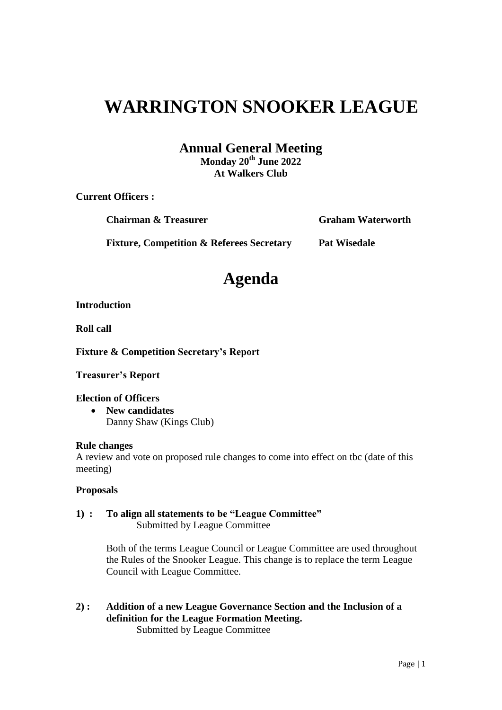# **WARRINGTON SNOOKER LEAGUE**

## **Annual General Meeting**

**Monday 20th June 2022 At Walkers Club**

**Current Officers :**

**Chairman & Treasurer Graham Waterworth**

**Fixture, Competition & Referees Secretary Pat Wisedale**

**Agenda**

### **Introduction**

**Roll call**

**Fixture & Competition Secretary's Report**

**Treasurer's Report**

### **Election of Officers**

 **New candidates** Danny Shaw (Kings Club)

### **Rule changes**

A review and vote on proposed rule changes to come into effect on tbc (date of this meeting)

### **Proposals**

**1) : To align all statements to be "League Committee"** Submitted by League Committee

> Both of the terms League Council or League Committee are used throughout the Rules of the Snooker League. This change is to replace the term League Council with League Committee.

**2) : Addition of a new League Governance Section and the Inclusion of a definition for the League Formation Meeting.** Submitted by League Committee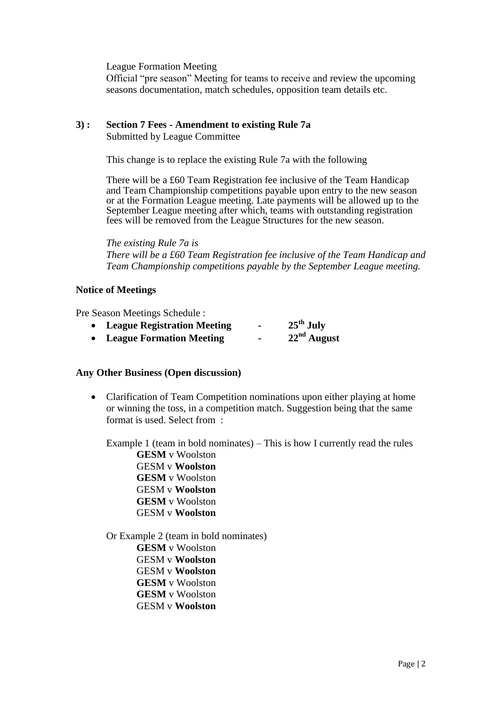League Formation Meeting

Official "pre season" Meeting for teams to receive and review the upcoming seasons documentation, match schedules, opposition team details etc.

## **3) : Section 7 Fees - Amendment to existing Rule 7a**

Submitted by League Committee

This change is to replace the existing Rule 7a with the following

There will be a £60 Team Registration fee inclusive of the Team Handicap and Team Championship competitions payable upon entry to the new season or at the Formation League meeting. Late payments will be allowed up to the September League meeting after which, teams with outstanding registration fees will be removed from the League Structures for the new season.

*The existing Rule 7a is There will be a £60 Team Registration fee inclusive of the Team Handicap and Team Championship competitions payable by the September League meeting.* 

#### **Notice of Meetings**

Pre Season Meetings Schedule :

- **League Registration Meeting - 25th July**
- **League Formation Meeting - 22nd August**

### **Any Other Business (Open discussion)**

• Clarification of Team Competition nominations upon either playing at home or winning the toss, in a competition match. Suggestion being that the same format is used. Select from :

Example 1 (team in bold nominates) – This is how I currently read the rules

**GESM** v Woolston GESM v **Woolston GESM** v Woolston GESM v **Woolston GESM** v Woolston GESM v **Woolston**

Or Example 2 (team in bold nominates) **GESM** v Woolston GESM v **Woolston** GESM v **Woolston GESM** v Woolston **GESM** v Woolston GESM v **Woolston**